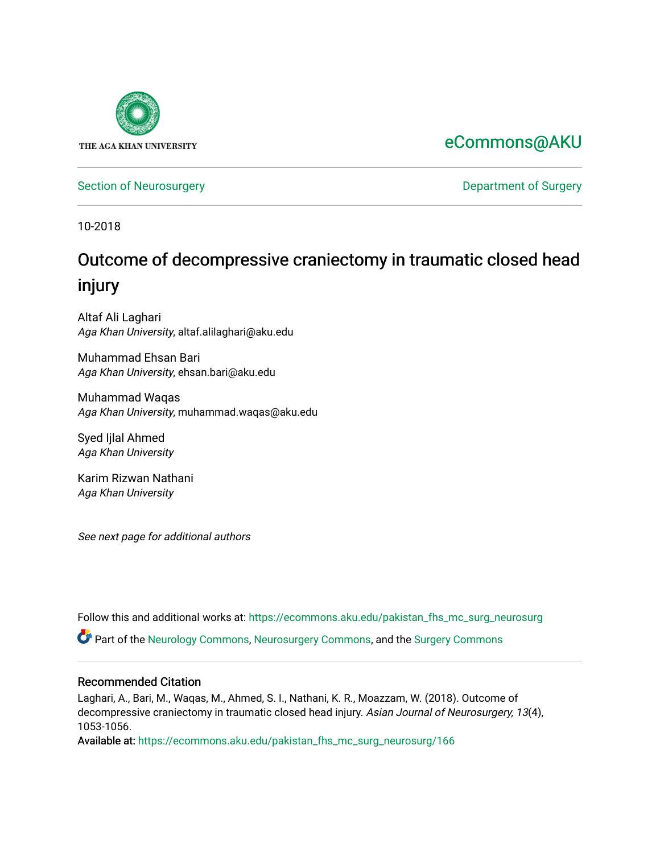

## [eCommons@AKU](https://ecommons.aku.edu/)

[Section of Neurosurgery](https://ecommons.aku.edu/pakistan_fhs_mc_surg_neurosurg) **Department of Surgery** Department of Surgery

10-2018

# Outcome of decompressive craniectomy in traumatic closed head injury

Altaf Ali Laghari Aga Khan University, altaf.alilaghari@aku.edu

Muhammad Ehsan Bari Aga Khan University, ehsan.bari@aku.edu

Muhammad Waqas Aga Khan University, muhammad.waqas@aku.edu

Syed Ijlal Ahmed Aga Khan University

Karim Rizwan Nathani Aga Khan University

See next page for additional authors

Follow this and additional works at: [https://ecommons.aku.edu/pakistan\\_fhs\\_mc\\_surg\\_neurosurg](https://ecommons.aku.edu/pakistan_fhs_mc_surg_neurosurg?utm_source=ecommons.aku.edu%2Fpakistan_fhs_mc_surg_neurosurg%2F166&utm_medium=PDF&utm_campaign=PDFCoverPages) 

Part of the [Neurology Commons](http://network.bepress.com/hgg/discipline/692?utm_source=ecommons.aku.edu%2Fpakistan_fhs_mc_surg_neurosurg%2F166&utm_medium=PDF&utm_campaign=PDFCoverPages), [Neurosurgery Commons](http://network.bepress.com/hgg/discipline/1428?utm_source=ecommons.aku.edu%2Fpakistan_fhs_mc_surg_neurosurg%2F166&utm_medium=PDF&utm_campaign=PDFCoverPages), and the [Surgery Commons](http://network.bepress.com/hgg/discipline/706?utm_source=ecommons.aku.edu%2Fpakistan_fhs_mc_surg_neurosurg%2F166&utm_medium=PDF&utm_campaign=PDFCoverPages) 

#### Recommended Citation

Laghari, A., Bari, M., Waqas, M., Ahmed, S. I., Nathani, K. R., Moazzam, W. (2018). Outcome of decompressive craniectomy in traumatic closed head injury. Asian Journal of Neurosurgery, 13(4), 1053-1056.

Available at: [https://ecommons.aku.edu/pakistan\\_fhs\\_mc\\_surg\\_neurosurg/166](https://ecommons.aku.edu/pakistan_fhs_mc_surg_neurosurg/166)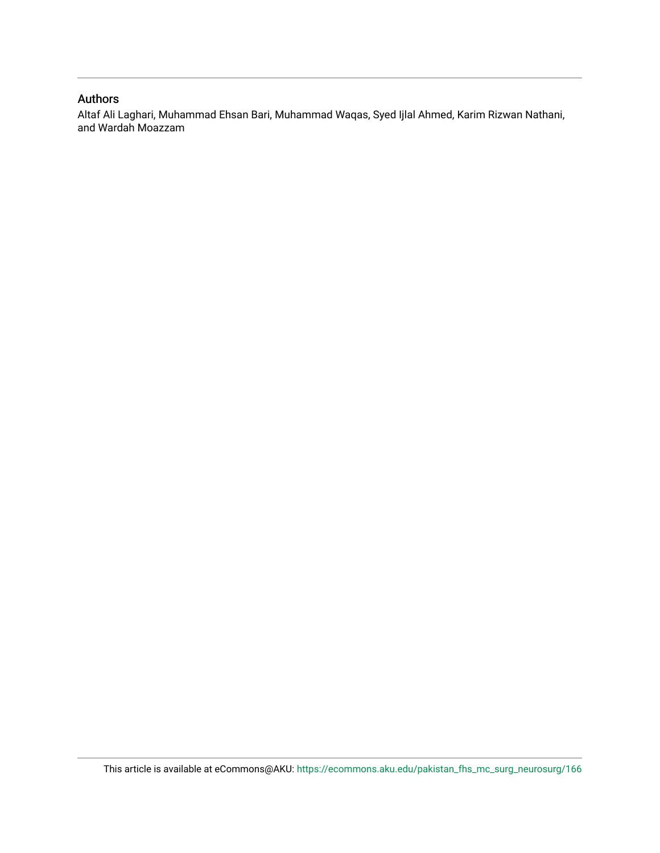#### Authors

Altaf Ali Laghari, Muhammad Ehsan Bari, Muhammad Waqas, Syed Ijlal Ahmed, Karim Rizwan Nathani, and Wardah Moazzam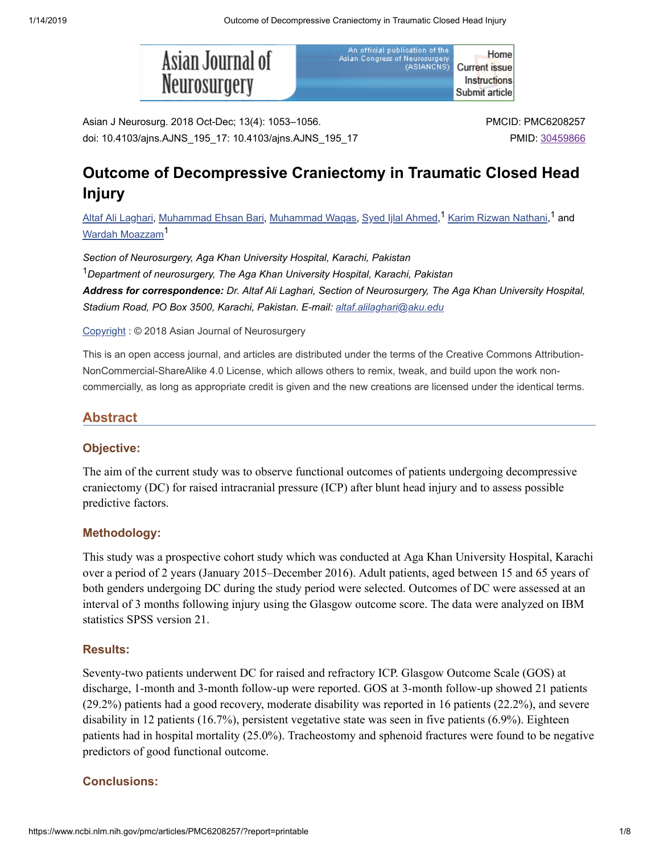

An official publication of the Home Asian Congress of Neurosurgery<br>Asian Congress of Neurosurgery **Current issue** Instructions Submit article

Asian J Neurosurg. 2018 Oct-Dec; 13(4): 1053–1056. doi: 10.4103/ajns.AJNS\_195\_17: 10.4103/ajns.AJNS\_195\_17

## **Outcome of Decompressive Craniectomy in Traumatic Closed Head Injury**

<u>Altaf Ali [Laghari](https://www.ncbi.nlm.nih.gov/pubmed/?term=Laghari%20AA%5BAuthor%5D&cauthor=true&cauthor_uid=30459866), [Muhammad](https://www.ncbi.nlm.nih.gov/pubmed/?term=Waqas%20M%5BAuthor%5D&cauthor=true&cauthor_uid=30459866) Ehsan Bari, Muhammad Waqas, Syed Ijlal [Ahmed](https://www.ncbi.nlm.nih.gov/pubmed/?term=Ahmed%20SI%5BAuthor%5D&cauthor=true&cauthor_uid=30459866),<sup>1</sup> Karim Rizwan [Nathani](https://www.ncbi.nlm.nih.gov/pubmed/?term=Nathani%20KR%5BAuthor%5D&cauthor=true&cauthor_uid=30459866),<sup>1</sup> and</u> Wardah [Moazzam](https://www.ncbi.nlm.nih.gov/pubmed/?term=Moazzam%20W%5BAuthor%5D&cauthor=true&cauthor_uid=30459866) 1

*Section of Neurosurgery, Aga Khan University Hospital, Karachi, Pakistan Department of neurosurgery, The Aga Khan University Hospital, Karachi, Pakistan* 1*Address for correspondence: Dr. Altaf Ali Laghari, Section of Neurosurgery, The Aga Khan University Hospital, Stadium Road, PO Box 3500, Karachi, Pakistan. E-mail: [altaf.alilaghari@aku.edu](mailto:dev@null)*

#### [Copyright](https://www.ncbi.nlm.nih.gov/pmc/about/copyright/) : © 2018 Asian Journal of Neurosurgery

This is an open access journal, and articles are distributed under the terms of the Creative Commons Attribution-NonCommercial-ShareAlike 4.0 License, which allows others to remix, tweak, and build upon the work noncommercially, as long as appropriate credit is given and the new creations are licensed under the identical terms.

#### **Abstract**

#### **Objective:**

The aim of the current study was to observe functional outcomes of patients undergoing decompressive craniectomy (DC) for raised intracranial pressure (ICP) after blunt head injury and to assess possible predictive factors.

#### **Methodology:**

This study was a prospective cohort study which was conducted at Aga Khan University Hospital, Karachi over a period of 2 years (January 2015–December 2016). Adult patients, aged between 15 and 65 years of both genders undergoing DC during the study period were selected. Outcomes of DC were assessed at an interval of 3 months following injury using the Glasgow outcome score. The data were analyzed on IBM statistics SPSS version 21.

#### **Results:**

Seventy-two patients underwent DC for raised and refractory ICP. Glasgow Outcome Scale (GOS) at discharge, 1-month and 3-month follow-up were reported. GOS at 3-month follow-up showed 21 patients (29.2%) patients had a good recovery, moderate disability was reported in 16 patients (22.2%), and severe disability in 12 patients (16.7%), persistent vegetative state was seen in five patients (6.9%). Eighteen patients had in hospital mortality (25.0%). Tracheostomy and sphenoid fractures were found to be negative predictors of good functional outcome.

#### **Conclusions:**

PMCID: PMC6208257 PMID: [30459866](https://www.ncbi.nlm.nih.gov/pubmed/30459866)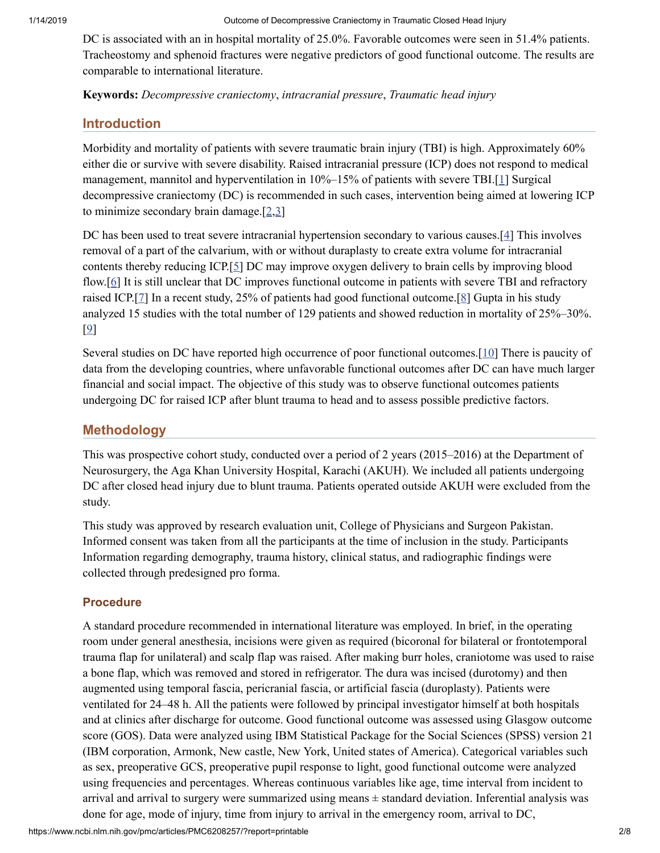DC is associated with an in hospital mortality of 25.0%. Favorable outcomes were seen in 51.4% patients. Tracheostomy and sphenoid fractures were negative predictors of good functional outcome. The results are comparable to international literature.

**Keywords:** *Decompressive craniectomy*, *intracranial pressure*, *Traumatic head injury*

## **Introduction**

Morbidity and mortality of patients with severe traumatic brain injury (TBI) is high. Approximately 60% either die or survive with severe disability. Raised intracranial pressure (ICP) does not respond to medical management, mannitol and hyperventilation in 10%–15% of patients with severe TBI.[\[1\]](#page-5-0) Surgical decompressive craniectomy (DC) is recommended in such cases, intervention being aimed at lowering ICP to minimize secondary brain damage.[\[2](#page-5-1)[,3\]](#page-6-0)

DC has been used to treat severe intracranial hypertension secondary to various causes.[\[4](#page-6-1)] This involves removal of a part of the calvarium, with or without duraplasty to create extra volume for intracranial contents thereby reducing ICP.[\[5](#page-6-2)] DC may improve oxygen delivery to brain cells by improving blood flow.[[6](#page-6-3)] It is still unclear that DC improves functional outcome in patients with severe TBI and refractory raised ICP.[\[7](#page-6-4)] In a recent study, 25% of patients had good functional outcome.[\[8](#page-6-5)] Gupta in his study analyzed 15 studies with the total number of 129 patients and showed reduction in mortality of 25%–30%. [\[9\]](#page-6-6)

Several studies on DC have reported high occurrence of poor functional outcomes.[\[10](#page-6-7)] There is paucity of data from the developing countries, where unfavorable functional outcomes after DC can have much larger financial and social impact. The objective of this study was to observe functional outcomes patients undergoing DC for raised ICP after blunt trauma to head and to assess possible predictive factors.

## **Methodology**

This was prospective cohort study, conducted over a period of 2 years (2015–2016) at the Department of Neurosurgery, the Aga Khan University Hospital, Karachi (AKUH). We included all patients undergoing DC after closed head injury due to blunt trauma. Patients operated outside AKUH were excluded from the study.

This study was approved by research evaluation unit, College of Physicians and Surgeon Pakistan. Informed consent was taken from all the participants at the time of inclusion in the study. Participants Information regarding demography, trauma history, clinical status, and radiographic findings were collected through predesigned pro forma.

## **Procedure**

A standard procedure recommended in international literature was employed. In brief, in the operating room under general anesthesia, incisions were given as required (bicoronal for bilateral or frontotemporal trauma flap for unilateral) and scalp flap was raised. After making burr holes, craniotome was used to raise a bone flap, which was removed and stored in refrigerator. The dura was incised (durotomy) and then augmented using temporal fascia, pericranial fascia, or artificial fascia (duroplasty). Patients were ventilated for 24–48 h. All the patients were followed by principal investigator himself at both hospitals and at clinics after discharge for outcome. Good functional outcome was assessed using Glasgow outcome score (GOS). Data were analyzed using IBM Statistical Package for the Social Sciences (SPSS) version 21 (IBM corporation, Armonk, New castle, New York, United states of America). Categorical variables such as sex, preoperative GCS, preoperative pupil response to light, good functional outcome were analyzed using frequencies and percentages. Whereas continuous variables like age, time interval from incident to arrival and arrival to surgery were summarized using means ± standard deviation. Inferential analysis was done for age, mode of injury, time from injury to arrival in the emergency room, arrival to DC,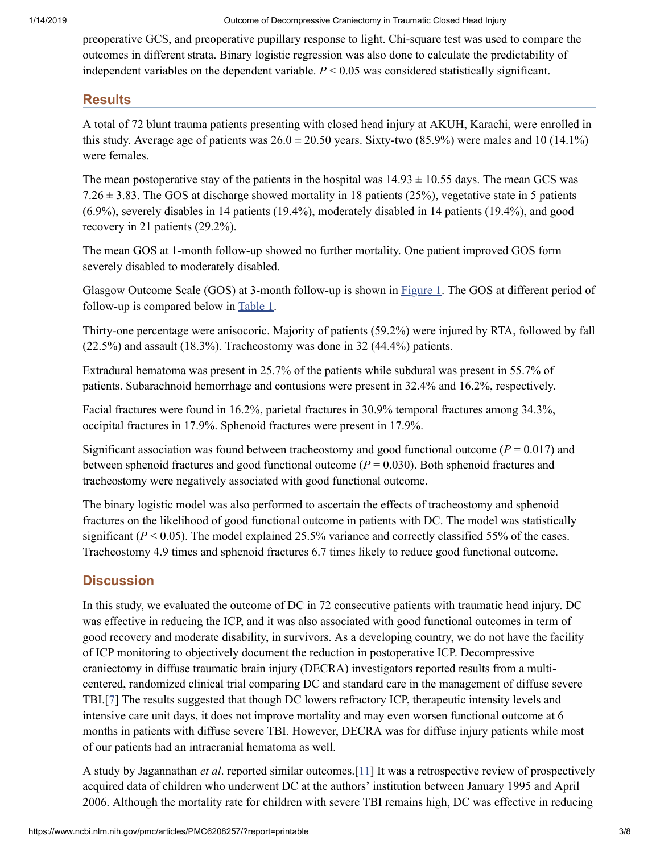preoperative GCS, and preoperative pupillary response to light. Chi-square test was used to compare the outcomes in different strata. Binary logistic regression was also done to calculate the predictability of independent variables on the dependent variable. *P* < 0.05 was considered statistically significant.

## **Results**

A total of 72 blunt trauma patients presenting with closed head injury at AKUH, Karachi, were enrolled in this study. Average age of patients was  $26.0 \pm 20.50$  years. Sixty-two (85.9%) were males and 10 (14.1%) were females.

The mean postoperative stay of the patients in the hospital was  $14.93 \pm 10.55$  days. The mean GCS was 7.26  $\pm$  3.83. The GOS at discharge showed mortality in 18 patients (25%), vegetative state in 5 patients (6.9%), severely disables in 14 patients (19.4%), moderately disabled in 14 patients (19.4%), and good recovery in 21 patients (29.2%).

The mean GOS at 1-month follow-up showed no further mortality. One patient improved GOS form severely disabled to moderately disabled.

Glasgow Outcome Scale (GOS) at 3-month follow-up is shown in **[Figure](https://www.ncbi.nlm.nih.gov/pmc/articles/PMC6208257/figure/F1/) 1**. The GOS at different period of follow-up is compared below in [Table](https://www.ncbi.nlm.nih.gov/pmc/articles/PMC6208257/table/T1/) 1.

Thirty-one percentage were anisocoric. Majority of patients (59.2%) were injured by RTA, followed by fall (22.5%) and assault (18.3%). Tracheostomy was done in 32 (44.4%) patients.

Extradural hematoma was present in 25.7% of the patients while subdural was present in 55.7% of patients. Subarachnoid hemorrhage and contusions were present in 32.4% and 16.2%, respectively.

Facial fractures were found in 16.2%, parietal fractures in 30.9% temporal fractures among 34.3%, occipital fractures in 17.9%. Sphenoid fractures were present in 17.9%.

Significant association was found between tracheostomy and good functional outcome  $(P = 0.017)$  and between sphenoid fractures and good functional outcome (*P* = 0.030). Both sphenoid fractures and tracheostomy were negatively associated with good functional outcome.

The binary logistic model was also performed to ascertain the effects of tracheostomy and sphenoid fractures on the likelihood of good functional outcome in patients with DC. The model was statistically significant ( $P < 0.05$ ). The model explained 25.5% variance and correctly classified 55% of the cases. Tracheostomy 4.9 times and sphenoid fractures 6.7 times likely to reduce good functional outcome.

## **Discussion**

In this study, we evaluated the outcome of DC in 72 consecutive patients with traumatic head injury. DC was effective in reducing the ICP, and it was also associated with good functional outcomes in term of good recovery and moderate disability, in survivors. As a developing country, we do not have the facility of ICP monitoring to objectively document the reduction in postoperative ICP. Decompressive craniectomy in diffuse traumatic brain injury (DECRA) investigators reported results from a multicentered, randomized clinical trial comparing DC and standard care in the management of diffuse severe TBI.[\[7\]](#page-6-4) The results suggested that though DC lowers refractory ICP, therapeutic intensity levels and intensive care unit days, it does not improve mortality and may even worsen functional outcome at 6 months in patients with diffuse severe TBI. However, DECRA was for diffuse injury patients while most of our patients had an intracranial hematoma as well.

A study by Jagannathan *et al*. reported similar outcomes.[\[11\]](#page-6-8) It was a retrospective review of prospectively acquired data of children who underwent DC at the authors' institution between January 1995 and April 2006. Although the mortality rate for children with severe TBI remains high, DC was effective in reducing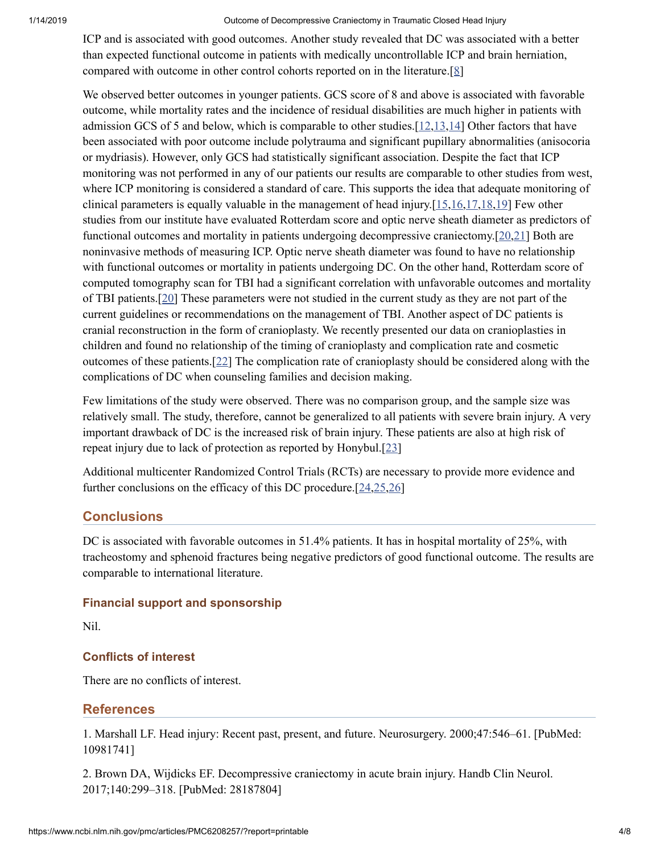ICP and is associated with good outcomes. Another study revealed that DC was associated with a better than expected functional outcome in patients with medically uncontrollable ICP and brain herniation, compared with outcome in other control cohorts reported on in the literature.[\[8\]](#page-6-5)

We observed better outcomes in younger patients. GCS score of 8 and above is associated with favorable outcome, while mortality rates and the incidence of residual disabilities are much higher in patients with admission GCS of 5 and below, which is comparable to other studies.[\[12](#page-6-9)[,13](#page-6-10)[,14](#page-6-11)] Other factors that have been associated with poor outcome include polytrauma and significant pupillary abnormalities (anisocoria or mydriasis). However, only GCS had statistically significant association. Despite the fact that ICP monitoring was not performed in any of our patients our results are comparable to other studies from west, where ICP monitoring is considered a standard of care. This supports the idea that adequate monitoring of clinical parameters is equally valuable in the management of head injury.[\[15](#page-6-12)[,16](#page-6-13)[,17](#page-6-14)[,18](#page-6-15)[,19](#page-6-16)] Few other studies from our institute have evaluated Rotterdam score and optic nerve sheath diameter as predictors of functional outcomes and mortality in patients undergoing decompressive craniectomy.[\[20](#page-7-0),[21\]](#page-7-1) Both are noninvasive methods of measuring ICP. Optic nerve sheath diameter was found to have no relationship with functional outcomes or mortality in patients undergoing DC. On the other hand, Rotterdam score of computed tomography scan for TBI had a significant correlation with unfavorable outcomes and mortality of TBI patients.[\[20\]](#page-7-0) These parameters were not studied in the current study as they are not part of the current guidelines or recommendations on the management of TBI. Another aspect of DC patients is cranial reconstruction in the form of cranioplasty. We recently presented our data on cranioplasties in children and found no relationship of the timing of cranioplasty and complication rate and cosmetic outcomes of these patients.[\[22](#page-7-2)] The complication rate of cranioplasty should be considered along with the complications of DC when counseling families and decision making.

Few limitations of the study were observed. There was no comparison group, and the sample size was relatively small. The study, therefore, cannot be generalized to all patients with severe brain injury. A very important drawback of DC is the increased risk of brain injury. These patients are also at high risk of repeat injury due to lack of protection as reported by Honybul.[[23](#page-7-3)]

Additional multicenter Randomized Control Trials (RCTs) are necessary to provide more evidence and further conclusions on the efficacy of this DC procedure.[\[24](#page-7-4),[25](#page-7-5),[26\]](#page-7-6)

#### **Conclusions**

DC is associated with favorable outcomes in 51.4% patients. It has in hospital mortality of 25%, with tracheostomy and sphenoid fractures being negative predictors of good functional outcome. The results are comparable to international literature.

#### **Financial support and sponsorship**

Nil.

#### **Conflicts of interest**

There are no conflicts of interest.

#### **References**

<span id="page-5-0"></span>1. Marshall LF. Head injury: Recent past, present, and future. Neurosurgery. 2000;47:546–61. [PubMed: 10981741]

<span id="page-5-1"></span>2. Brown DA, Wijdicks EF. Decompressive craniectomy in acute brain injury. Handb Clin Neurol. 2017;140:299–318. [PubMed: 28187804]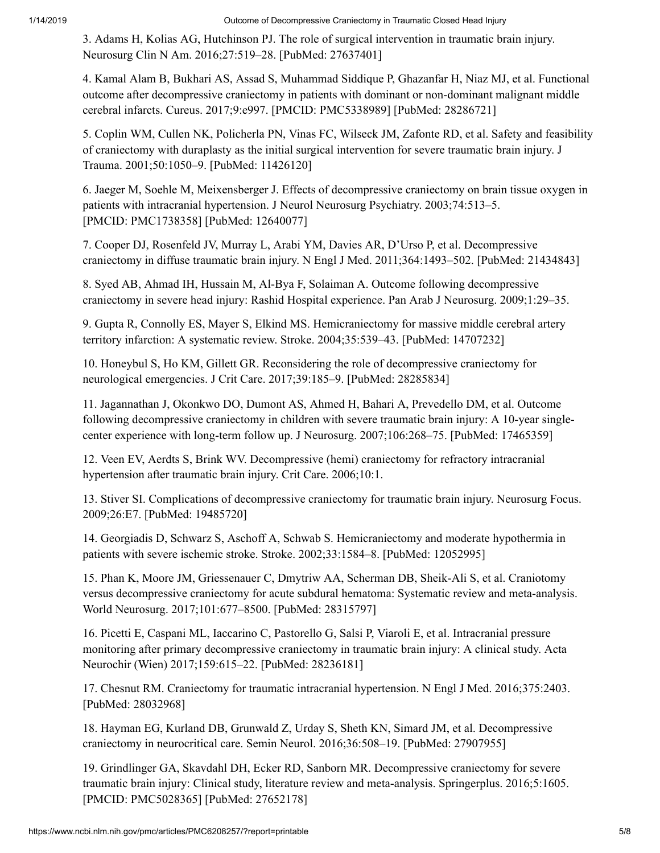<span id="page-6-0"></span>3. Adams H, Kolias AG, Hutchinson PJ. The role of surgical intervention in traumatic brain injury. Neurosurg Clin N Am. 2016;27:519–28. [PubMed: 27637401]

<span id="page-6-1"></span>4. Kamal Alam B, Bukhari AS, Assad S, Muhammad Siddique P, Ghazanfar H, Niaz MJ, et al. Functional outcome after decompressive craniectomy in patients with dominant or non-dominant malignant middle cerebral infarcts. Cureus. 2017;9:e997. [PMCID: PMC5338989] [PubMed: 28286721]

<span id="page-6-2"></span>5. Coplin WM, Cullen NK, Policherla PN, Vinas FC, Wilseck JM, Zafonte RD, et al. Safety and feasibility of craniectomy with duraplasty as the initial surgical intervention for severe traumatic brain injury. J Trauma. 2001;50:1050–9. [PubMed: 11426120]

<span id="page-6-3"></span>6. Jaeger M, Soehle M, Meixensberger J. Effects of decompressive craniectomy on brain tissue oxygen in patients with intracranial hypertension. J Neurol Neurosurg Psychiatry. 2003;74:513–5. [PMCID: PMC1738358] [PubMed: 12640077]

<span id="page-6-4"></span>7. Cooper DJ, Rosenfeld JV, Murray L, Arabi YM, Davies AR, D'Urso P, et al. Decompressive craniectomy in diffuse traumatic brain injury. N Engl J Med. 2011;364:1493–502. [PubMed: 21434843]

<span id="page-6-5"></span>8. Syed AB, Ahmad IH, Hussain M, Al-Bya F, Solaiman A. Outcome following decompressive craniectomy in severe head injury: Rashid Hospital experience. Pan Arab J Neurosurg. 2009;1:29–35.

<span id="page-6-6"></span>9. Gupta R, Connolly ES, Mayer S, Elkind MS. Hemicraniectomy for massive middle cerebral artery territory infarction: A systematic review. Stroke. 2004;35:539–43. [PubMed: 14707232]

<span id="page-6-7"></span>10. Honeybul S, Ho KM, Gillett GR. Reconsidering the role of decompressive craniectomy for neurological emergencies. J Crit Care. 2017;39:185–9. [PubMed: 28285834]

<span id="page-6-8"></span>11. Jagannathan J, Okonkwo DO, Dumont AS, Ahmed H, Bahari A, Prevedello DM, et al. Outcome following decompressive craniectomy in children with severe traumatic brain injury: A 10-year singlecenter experience with long-term follow up. J Neurosurg. 2007;106:268–75. [PubMed: 17465359]

<span id="page-6-9"></span>12. Veen EV, Aerdts S, Brink WV. Decompressive (hemi) craniectomy for refractory intracranial hypertension after traumatic brain injury. Crit Care. 2006;10:1.

<span id="page-6-10"></span>13. Stiver SI. Complications of decompressive craniectomy for traumatic brain injury. Neurosurg Focus. 2009;26:E7. [PubMed: 19485720]

<span id="page-6-11"></span>14. Georgiadis D, Schwarz S, Aschoff A, Schwab S. Hemicraniectomy and moderate hypothermia in patients with severe ischemic stroke. Stroke. 2002;33:1584–8. [PubMed: 12052995]

<span id="page-6-12"></span>15. Phan K, Moore JM, Griessenauer C, Dmytriw AA, Scherman DB, Sheik-Ali S, et al. Craniotomy versus decompressive craniectomy for acute subdural hematoma: Systematic review and meta-analysis. World Neurosurg. 2017;101:677–8500. [PubMed: 28315797]

<span id="page-6-13"></span>16. Picetti E, Caspani ML, Iaccarino C, Pastorello G, Salsi P, Viaroli E, et al. Intracranial pressure monitoring after primary decompressive craniectomy in traumatic brain injury: A clinical study. Acta Neurochir (Wien) 2017;159:615–22. [PubMed: 28236181]

<span id="page-6-14"></span>17. Chesnut RM. Craniectomy for traumatic intracranial hypertension. N Engl J Med. 2016;375:2403. [PubMed: 28032968]

<span id="page-6-15"></span>18. Hayman EG, Kurland DB, Grunwald Z, Urday S, Sheth KN, Simard JM, et al. Decompressive craniectomy in neurocritical care. Semin Neurol. 2016;36:508–19. [PubMed: 27907955]

<span id="page-6-16"></span>19. Grindlinger GA, Skavdahl DH, Ecker RD, Sanborn MR. Decompressive craniectomy for severe traumatic brain injury: Clinical study, literature review and meta-analysis. Springerplus. 2016;5:1605. [PMCID: PMC5028365] [PubMed: 27652178]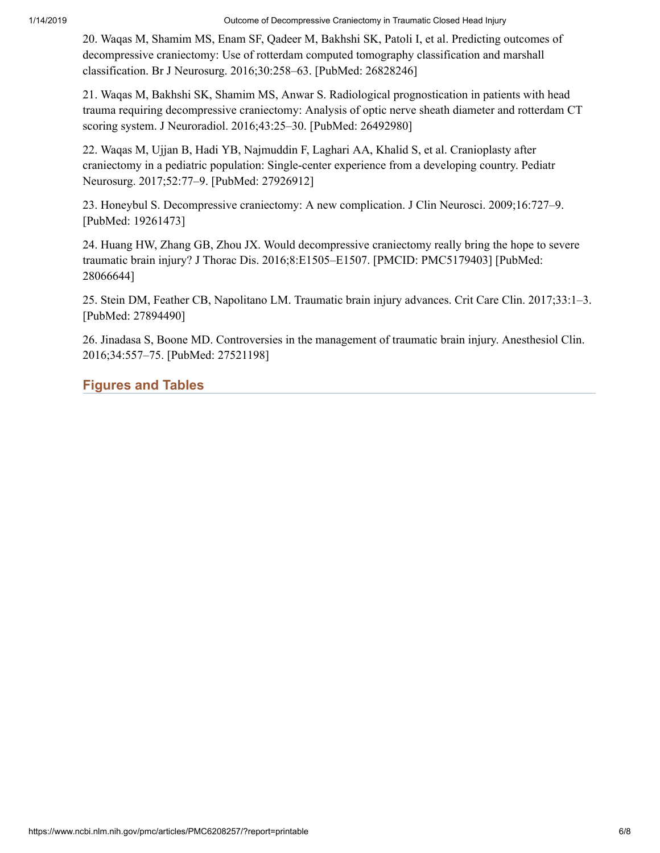<span id="page-7-0"></span>20. Waqas M, Shamim MS, Enam SF, Qadeer M, Bakhshi SK, Patoli I, et al. Predicting outcomes of decompressive craniectomy: Use of rotterdam computed tomography classification and marshall classification. Br J Neurosurg. 2016;30:258–63. [PubMed: 26828246]

<span id="page-7-1"></span>21. Waqas M, Bakhshi SK, Shamim MS, Anwar S. Radiological prognostication in patients with head trauma requiring decompressive craniectomy: Analysis of optic nerve sheath diameter and rotterdam CT scoring system. J Neuroradiol. 2016;43:25–30. [PubMed: 26492980]

<span id="page-7-2"></span>22. Waqas M, Ujjan B, Hadi YB, Najmuddin F, Laghari AA, Khalid S, et al. Cranioplasty after craniectomy in a pediatric population: Single-center experience from a developing country. Pediatr Neurosurg. 2017;52:77–9. [PubMed: 27926912]

<span id="page-7-3"></span>23. Honeybul S. Decompressive craniectomy: A new complication. J Clin Neurosci. 2009;16:727–9. [PubMed: 19261473]

<span id="page-7-4"></span>24. Huang HW, Zhang GB, Zhou JX. Would decompressive craniectomy really bring the hope to severe traumatic brain injury? J Thorac Dis. 2016;8:E1505–E1507. [PMCID: PMC5179403] [PubMed: 28066644]

<span id="page-7-5"></span>25. Stein DM, Feather CB, Napolitano LM. Traumatic brain injury advances. Crit Care Clin. 2017;33:1–3. [PubMed: 27894490]

<span id="page-7-6"></span>26. Jinadasa S, Boone MD. Controversies in the management of traumatic brain injury. Anesthesiol Clin. 2016;34:557–75. [PubMed: 27521198]

## **Figures and Tables**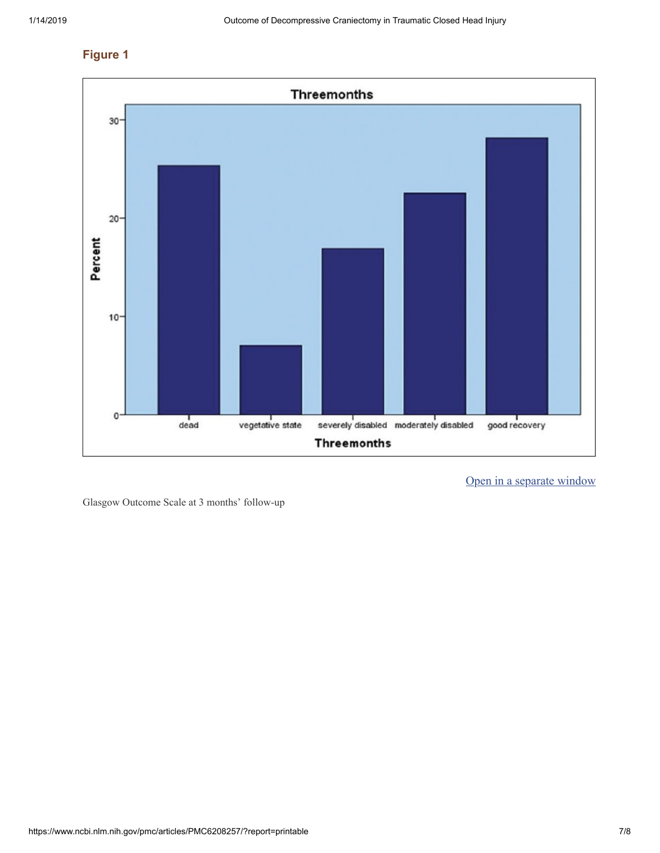## **Figure 1**



Open in a [separate](https://www.ncbi.nlm.nih.gov/pmc/articles/PMC6208257/figure/F1/?report=objectonly) window

Glasgow Outcome Scale at 3 months' follow-up